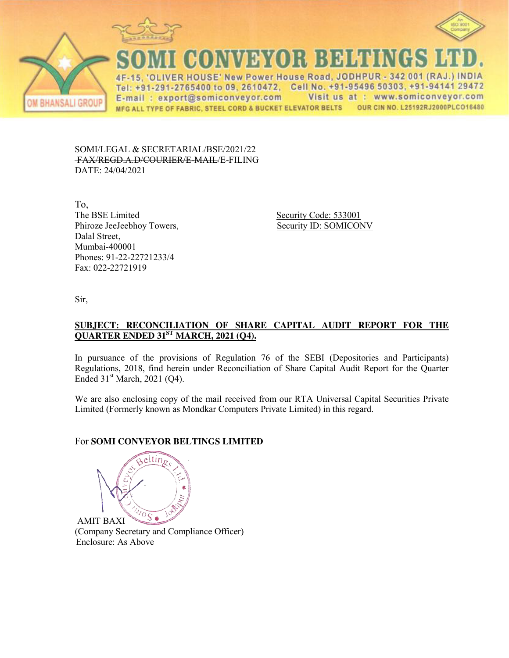





CONVEYOR BELTINGS

IVER HOUSE' New Power House Road, JODHPUR - 342 001 (RAJ.) INDIA  $\Delta F$  $\mathbb{R}$ Tel: +91-291-2765400 to 09, 2610472, Cell No. +91-95496 50303, +91-94141 29472 Visit us at : www.somiconveyor.com E-mail: export@somiconveyor.com OUR CIN NO. L25192RJ2000PLCO16480 MFG ALL TYPE OF FABRIC, STEEL CORD & BUCKET ELEVATOR BELTS

SOMI/LEGAL & SECRETARIAL/BSE/2021/22 FAX/REGD.A.D/COURIER/E-MAIL/E-FILING DATE: 24/04/2021

To, The BSE Limited Security Code: 533001 Phiroze JeeJeebhoy Towers, Security ID: SOMICONV Dalal Street, Mumbai-400001 Phones: 91-22-22721233/4 Fax: 022-22721919

Sir,

## **SUBJECT: RECONCILIATION OF SHARE CAPITAL AUDIT REPORT FOR THE QUARTER ENDED 31ST MARCH, 2021 (Q4).**

In pursuance of the provisions of Regulation 76 of the SEBI (Depositories and Participants) Regulations, 2018, find herein under Reconciliation of Share Capital Audit Report for the Quarter Ended 31<sup>st</sup> March, 2021 (Q4).

We are also enclosing copy of the mail received from our RTA Universal Capital Securities Private Limited (Formerly known as Mondkar Computers Private Limited) in this regard.

## For **SOMI CONVEYOR BELTINGS LIMITED**

eltin $\epsilon$  $\sqrt[1]{\frac{1}{10S}}$ AMIT BAXI

(Company Secretary and Compliance Officer) Enclosure: As Above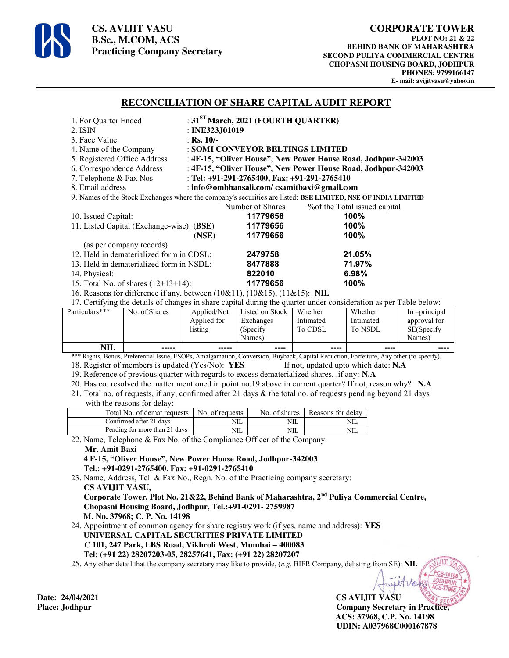

**CS. AVIJIT VASU B.Sc., M.COM, ACS Practicing Company Secretary** 

### **RECONCILIATION OF SHARE CAPITAL AUDIT REPORT**

| 1. For Quarter Ended                                                                                                                                                                                                                |                                           | : $31ST March$ , 2021 (FOURTH QUARTER) |                                                               |                                            |                               |              |  |  |  |
|-------------------------------------------------------------------------------------------------------------------------------------------------------------------------------------------------------------------------------------|-------------------------------------------|----------------------------------------|---------------------------------------------------------------|--------------------------------------------|-------------------------------|--------------|--|--|--|
| 2. ISIN                                                                                                                                                                                                                             |                                           |                                        | : INE323J01019                                                |                                            |                               |              |  |  |  |
| 3. Face Value                                                                                                                                                                                                                       |                                           |                                        | : Rs. $10/-$                                                  |                                            |                               |              |  |  |  |
| 4. Name of the Company                                                                                                                                                                                                              |                                           |                                        | : SOMI CONVEYOR BELTINGS LIMITED                              |                                            |                               |              |  |  |  |
| 5. Registered Office Address                                                                                                                                                                                                        |                                           |                                        | : 4F-15, "Oliver House", New Power House Road, Jodhpur-342003 |                                            |                               |              |  |  |  |
| 6. Correspondence Address                                                                                                                                                                                                           |                                           |                                        | : 4F-15, "Oliver House", New Power House Road, Jodhpur-342003 |                                            |                               |              |  |  |  |
| 7. Telephone & Fax Nos                                                                                                                                                                                                              |                                           |                                        | : Tel: +91-291-2765400, Fax: +91-291-2765410                  |                                            |                               |              |  |  |  |
| 8. Email address                                                                                                                                                                                                                    |                                           |                                        |                                                               | : info@ombhansali.com/csamitbaxi@gmail.com |                               |              |  |  |  |
| 9. Names of the Stock Exchanges where the company's securities are listed: BSE LIMITED, NSE OF INDIA LIMITED                                                                                                                        |                                           |                                        |                                                               |                                            |                               |              |  |  |  |
|                                                                                                                                                                                                                                     |                                           |                                        | Number of Shares                                              |                                            | % of the Total issued capital |              |  |  |  |
| 10. Issued Capital:                                                                                                                                                                                                                 |                                           |                                        | 11779656                                                      |                                            | 100%                          |              |  |  |  |
|                                                                                                                                                                                                                                     | 11. Listed Capital (Exchange-wise): (BSE) |                                        | 11779656                                                      |                                            | 100%                          |              |  |  |  |
|                                                                                                                                                                                                                                     |                                           | (NSE)                                  | 11779656                                                      |                                            | 100%                          |              |  |  |  |
|                                                                                                                                                                                                                                     | (as per company records)                  |                                        |                                                               |                                            |                               |              |  |  |  |
|                                                                                                                                                                                                                                     | 12. Held in dematerialized form in CDSL:  |                                        | 2479758                                                       |                                            | 21.05%                        |              |  |  |  |
|                                                                                                                                                                                                                                     | 13. Held in dematerialized form in NSDL:  |                                        | 8477888                                                       |                                            | 71.97%                        |              |  |  |  |
| 14. Physical:                                                                                                                                                                                                                       |                                           |                                        | 822010                                                        |                                            | 6.98%                         |              |  |  |  |
| 15. Total No. of shares $(12+13+14)$ :                                                                                                                                                                                              |                                           |                                        | 11779656                                                      |                                            | 100%                          |              |  |  |  |
| 16. Reasons for difference if any, between (10&11), (10&15), (11&15): NIL                                                                                                                                                           |                                           |                                        |                                                               |                                            |                               |              |  |  |  |
| 17. Certifying the details of changes in share capital during the quarter under consideration as per Table below:                                                                                                                   |                                           |                                        |                                                               |                                            |                               |              |  |  |  |
| Particulars***                                                                                                                                                                                                                      | No. of Shares                             | Applied/Not                            | Listed on Stock                                               | Whether                                    | Whether                       | In-principal |  |  |  |
|                                                                                                                                                                                                                                     |                                           | Applied for                            | Exchanges                                                     | Intimated                                  | Intimated                     | approval for |  |  |  |
|                                                                                                                                                                                                                                     |                                           | listing                                | (Specify)                                                     | To CDSL                                    | To NSDL                       | SE(Specify   |  |  |  |
|                                                                                                                                                                                                                                     |                                           |                                        | Names)                                                        |                                            |                               | Names)       |  |  |  |
| <b>NIL</b>                                                                                                                                                                                                                          |                                           | -----                                  | ----                                                          | ----                                       | ----                          |              |  |  |  |
| *** Rights, Bonus, Preferential Issue, ESOPs, Amalgamation, Conversion, Buyback, Capital Reduction, Forfeiture, Any other (to specify).<br>18. Register of members is updated (Yes/No): YES<br>If not, updated upto which date: N.A |                                           |                                        |                                                               |                                            |                               |              |  |  |  |
| 19. Reference of previous quarter with regards to excess dematerialized shares, .if any: N.A.                                                                                                                                       |                                           |                                        |                                                               |                                            |                               |              |  |  |  |
| 20. Has co. resolved the matter mentioned in point no.19 above in current quarter? If not, reason why? N.A.                                                                                                                         |                                           |                                        |                                                               |                                            |                               |              |  |  |  |
| 21. Total no. of requests, if any, confirmed after 21 days & the total no. of requests pending beyond 21 days                                                                                                                       |                                           |                                        |                                                               |                                            |                               |              |  |  |  |
| with the reasons for delay:                                                                                                                                                                                                         |                                           |                                        |                                                               |                                            |                               |              |  |  |  |
| No. of shares<br>No. of requests<br>Reasons for delay<br>Total No. of demat requests                                                                                                                                                |                                           |                                        |                                                               |                                            |                               |              |  |  |  |

| $\sim$ $\sim$ $\sim$ |                               |                 | $\sim$ $\sim$ |                          |
|----------------------|-------------------------------|-----------------|---------------|--------------------------|
|                      | Pending for more than 21 days | NIL             | NIL           | NIL                      |
|                      | Confirmed after 21 days       | NIL             | NIL           | NIL                      |
|                      | Total No. of demat requests   | No. of requests | No. of shares | <b>Reasons for delay</b> |

22. Name, Telephone & Fax No. of the Compliance Officer of the Company: **Mr. Amit Baxi** 

#### **4 F-15, "Oliver House", New Power House Road, Jodhpur-342003 Tel.: +91-0291-2765400, Fax: +91-0291-2765410**

23. Name, Address, Tel. & Fax No., Regn. No. of the Practicing company secretary:  **CS AVIJIT VASU, Corporate Tower, Plot No. 21&22, Behind Bank of Maharashtra, 2nd Puliya Commercial Centre, Chopasni Housing Board, Jodhpur, Tel.:+91-0291- 2759987 M. No. 37968; C. P. No. 14198** 

24. Appointment of common agency for share registry work (if yes, name and address): **YES UNIVERSAL CAPITAL SECURITIES PRIVATE LIMITED C 101, 247 Park, LBS Road, Vikhroli West, Mumbai – 400083 Tel: (+91 22) 28207203-05, 28257641, Fax: (+91 22) 28207207**

25. Any other detail that the company secretary may like to provide, (*e.g.* BIFR Company, delisting from SE): **NIL**

**CS AVIJIT VASU Place: Jodhpur Company Secretary in Practice, ACS: 37968, C.P. No. 14198 UDIN: A037968C000167878** 

Date: 24/04/2021